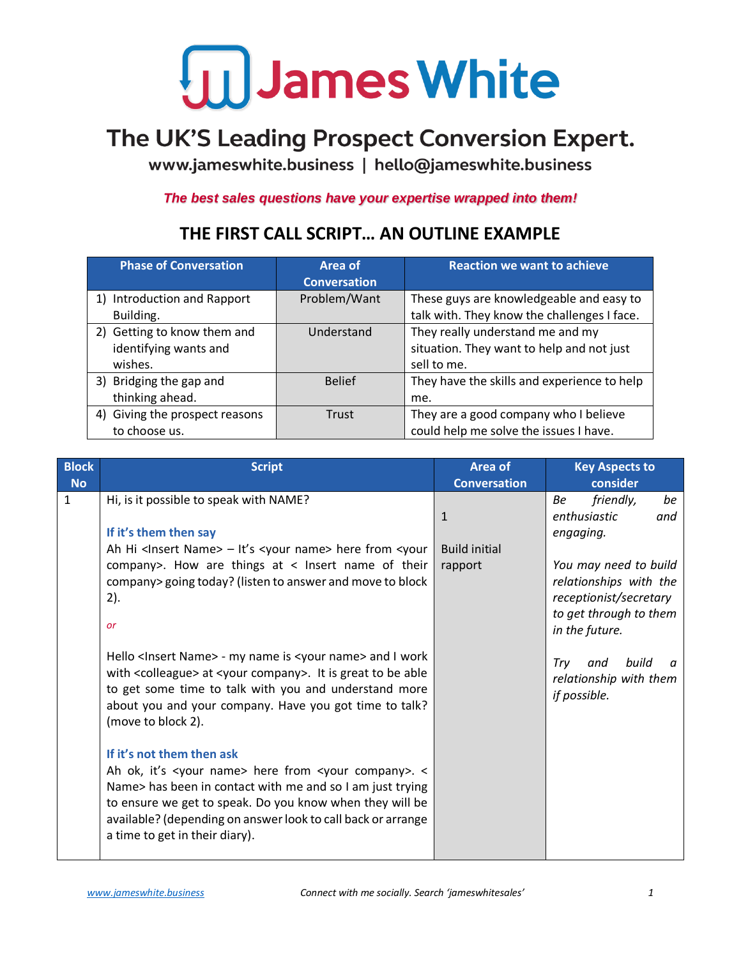#### The UK'S Leading Prospect Conversion Expert.

www.jameswhite.business | hello@jameswhite.business

*The best sales questions have your expertise wrapped into them!*

#### **Phase of Conversation Area of Conversation Reaction we want to achieve** 1) Introduction and Rapport Building. Problem/Want These guys are knowledgeable and easy to talk with. They know the challenges I face. 2) Getting to know them and identifying wants and wishes. Understand They really understand me and my situation. They want to help and not just sell to me. 3) Bridging the gap and thinking ahead. Belief They have the skills and experience to help me. 4) Giving the prospect reasons to choose us. Trust They are a good company who I believe could help me solve the issues I have.

#### **THE FIRST CALL SCRIPT… AN OUTLINE EXAMPLE**

| <b>Block</b> | <b>Script</b>                                                                                                                      | Area of              | <b>Key Aspects to</b>    |
|--------------|------------------------------------------------------------------------------------------------------------------------------------|----------------------|--------------------------|
| <b>No</b>    |                                                                                                                                    | <b>Conversation</b>  | consider                 |
| $\mathbf{1}$ | Hi, is it possible to speak with NAME?                                                                                             |                      | friendly,<br>be<br>Be    |
|              |                                                                                                                                    | $\mathbf{1}$         | enthusiastic<br>and      |
|              | If it's them then say                                                                                                              |                      | engaging.                |
|              | Ah Hi <insert name=""> - It's <your name=""> here from <your< td=""><td><b>Build initial</b></td><td></td></your<></your></insert> | <b>Build initial</b> |                          |
|              |                                                                                                                                    |                      |                          |
|              | company>. How are things at < Insert name of their                                                                                 | rapport              | You may need to build    |
|              | company> going today? (listen to answer and move to block                                                                          |                      | relationships with the   |
|              | 2).                                                                                                                                |                      | receptionist/secretary   |
|              |                                                                                                                                    |                      | to get through to them   |
|              | or                                                                                                                                 |                      | in the future.           |
|              |                                                                                                                                    |                      |                          |
|              | Hello <insert name=""> - my name is <your name=""> and I work</your></insert>                                                      |                      | build<br>Trv<br>and<br>n |
|              | with <colleague> at <your company="">. It is great to be able</your></colleague>                                                   |                      | relationship with them   |
|              | to get some time to talk with you and understand more                                                                              |                      | if possible.             |
|              | about you and your company. Have you got time to talk?                                                                             |                      |                          |
|              | (move to block 2).                                                                                                                 |                      |                          |
|              |                                                                                                                                    |                      |                          |
|              | If it's not them then ask                                                                                                          |                      |                          |
|              |                                                                                                                                    |                      |                          |
|              | Ah ok, it's <your name=""> here from <your company="">. &lt;</your></your>                                                         |                      |                          |
|              | Name> has been in contact with me and so I am just trying                                                                          |                      |                          |
|              | to ensure we get to speak. Do you know when they will be                                                                           |                      |                          |
|              | available? (depending on answer look to call back or arrange                                                                       |                      |                          |
|              | a time to get in their diary).                                                                                                     |                      |                          |
|              |                                                                                                                                    |                      |                          |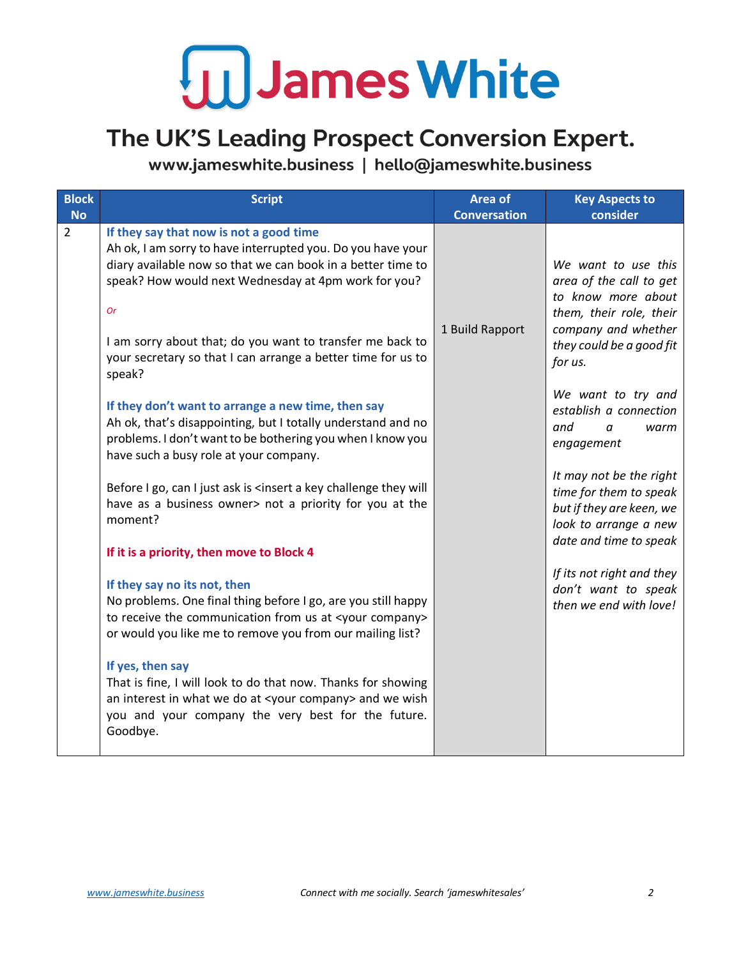#### The UK'S Leading Prospect Conversion Expert.

| <b>Block</b>   | <b>Script</b>                                                                                                                                                                                                                   | <b>Area of</b>      | <b>Key Aspects to</b>                                                                                                            |
|----------------|---------------------------------------------------------------------------------------------------------------------------------------------------------------------------------------------------------------------------------|---------------------|----------------------------------------------------------------------------------------------------------------------------------|
| <b>No</b>      |                                                                                                                                                                                                                                 | <b>Conversation</b> | consider                                                                                                                         |
| $\overline{2}$ | If they say that now is not a good time<br>Ah ok, I am sorry to have interrupted you. Do you have your<br>diary available now so that we can book in a better time to<br>speak? How would next Wednesday at 4pm work for you?   |                     | We want to use this<br>area of the call to get<br>to know more about                                                             |
|                | <b>Or</b><br>I am sorry about that; do you want to transfer me back to<br>your secretary so that I can arrange a better time for us to<br>speak?                                                                                | 1 Build Rapport     | them, their role, their<br>company and whether<br>they could be a good fit<br>for us.                                            |
|                | If they don't want to arrange a new time, then say<br>Ah ok, that's disappointing, but I totally understand and no<br>problems. I don't want to be bothering you when I know you<br>have such a busy role at your company.      |                     | We want to try and<br>establish a connection<br>and<br>$\alpha$<br>warm<br>engagement                                            |
|                | Before I go, can I just ask is <insert a="" challenge="" key="" they="" will<br="">have as a business owner&gt; not a priority for you at the<br/>moment?</insert>                                                              |                     | It may not be the right<br>time for them to speak<br>but if they are keen, we<br>look to arrange a new<br>date and time to speak |
|                | If it is a priority, then move to Block 4                                                                                                                                                                                       |                     |                                                                                                                                  |
|                | If they say no its not, then<br>No problems. One final thing before I go, are you still happy<br>to receive the communication from us at <your company=""><br/>or would you like me to remove you from our mailing list?</your> |                     | If its not right and they<br>don't want to speak<br>then we end with love!                                                       |
|                | If yes, then say<br>That is fine, I will look to do that now. Thanks for showing<br>an interest in what we do at <your company=""> and we wish<br/>you and your company the very best for the future.<br/>Goodbye.</your>       |                     |                                                                                                                                  |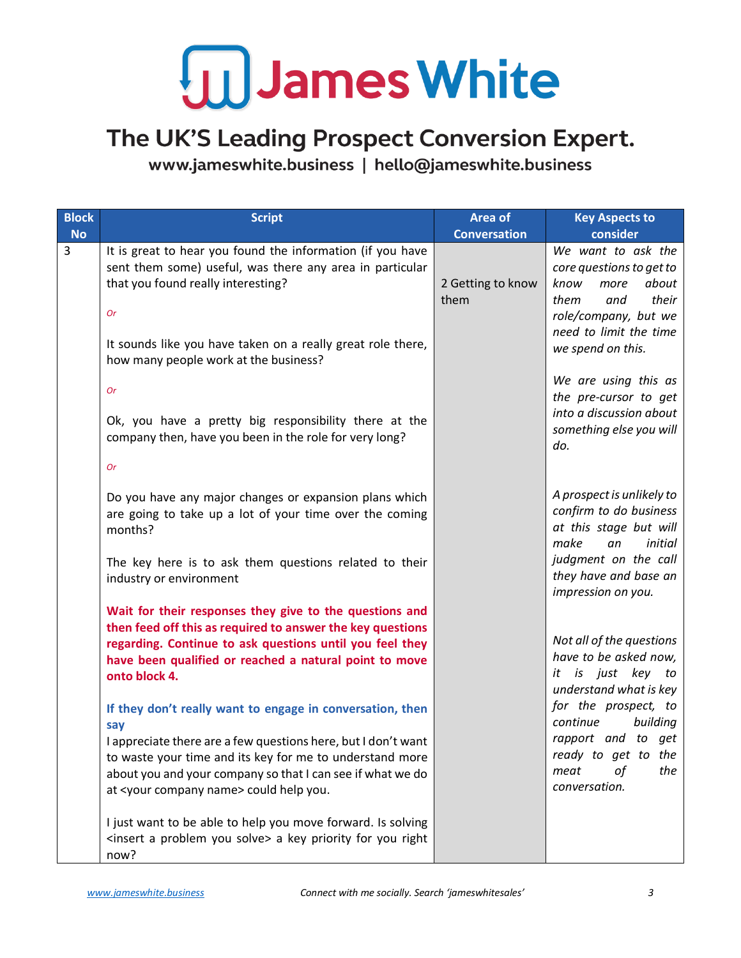#### The UK'S Leading Prospect Conversion Expert.

| <b>Block</b> | <b>Script</b>                                                                                                                                                                                                                                  | Area of                   | <b>Key Aspects to</b>                                                                                                                             |
|--------------|------------------------------------------------------------------------------------------------------------------------------------------------------------------------------------------------------------------------------------------------|---------------------------|---------------------------------------------------------------------------------------------------------------------------------------------------|
| <b>No</b>    |                                                                                                                                                                                                                                                | <b>Conversation</b>       | consider                                                                                                                                          |
| 3            | It is great to hear you found the information (if you have<br>sent them some) useful, was there any area in particular<br>that you found really interesting?<br><b>Or</b>                                                                      | 2 Getting to know<br>them | We want to ask the<br>core questions to get to<br>about<br>know<br>more<br>them<br>their<br>and<br>role/company, but we<br>need to limit the time |
|              | It sounds like you have taken on a really great role there,<br>how many people work at the business?                                                                                                                                           |                           | we spend on this.                                                                                                                                 |
|              | <b>Or</b>                                                                                                                                                                                                                                      |                           | We are using this as<br>the pre-cursor to get<br>into a discussion about                                                                          |
|              | Ok, you have a pretty big responsibility there at the<br>company then, have you been in the role for very long?                                                                                                                                |                           | something else you will<br>do.                                                                                                                    |
|              | <b>Or</b>                                                                                                                                                                                                                                      |                           |                                                                                                                                                   |
|              | Do you have any major changes or expansion plans which<br>are going to take up a lot of your time over the coming<br>months?                                                                                                                   |                           | A prospect is unlikely to<br>confirm to do business<br>at this stage but will<br>make<br>initial<br>an                                            |
|              | The key here is to ask them questions related to their<br>industry or environment                                                                                                                                                              |                           | judgment on the call<br>they have and base an<br>impression on you.                                                                               |
|              | Wait for their responses they give to the questions and<br>then feed off this as required to answer the key questions                                                                                                                          |                           |                                                                                                                                                   |
|              | regarding. Continue to ask questions until you feel they<br>have been qualified or reached a natural point to move<br>onto block 4.                                                                                                            |                           | Not all of the questions<br>have to be asked now,<br>it is just key to<br>understand what is key                                                  |
|              | If they don't really want to engage in conversation, then<br>say                                                                                                                                                                               |                           | for the prospect, to<br>continue<br>building                                                                                                      |
|              | I appreciate there are a few questions here, but I don't want<br>to waste your time and its key for me to understand more<br>about you and your company so that I can see if what we do<br>at <your company="" name=""> could help you.</your> |                           | rapport and to get<br>ready to get to the<br>οf<br>the<br>meat<br>conversation.                                                                   |
|              | I just want to be able to help you move forward. Is solving<br><insert a="" problem="" solve="" you=""> a key priority for you right<br/>now?</insert>                                                                                         |                           |                                                                                                                                                   |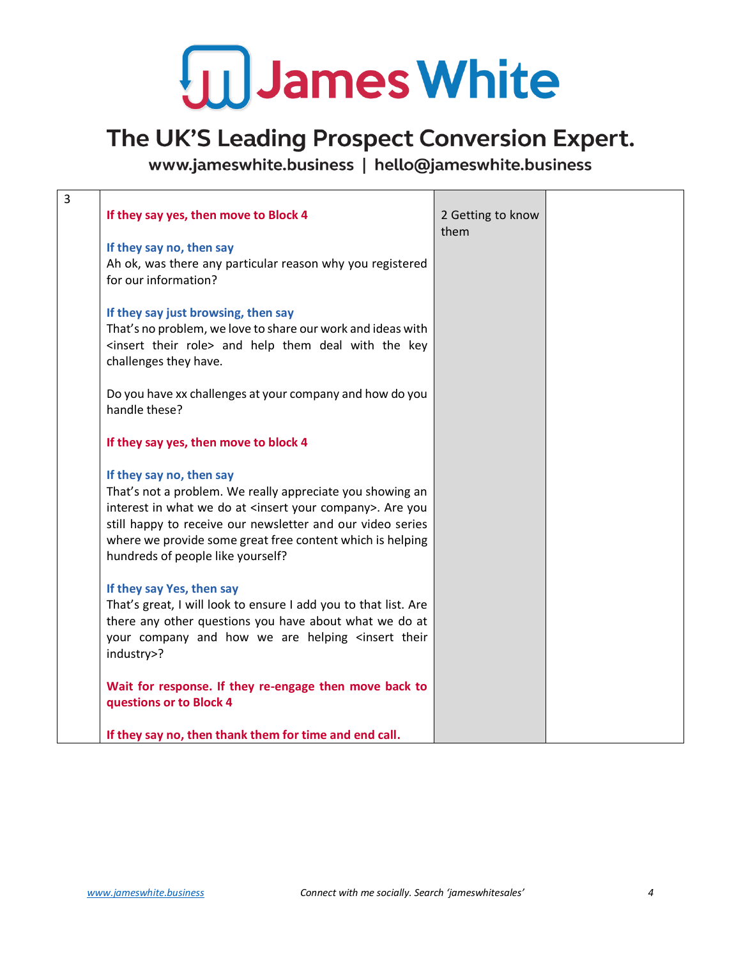#### The UK'S Leading Prospect Conversion Expert.

| 3 |                                                                                                |                           |  |
|---|------------------------------------------------------------------------------------------------|---------------------------|--|
|   | If they say yes, then move to Block 4                                                          | 2 Getting to know<br>them |  |
|   | If they say no, then say                                                                       |                           |  |
|   | Ah ok, was there any particular reason why you registered                                      |                           |  |
|   | for our information?                                                                           |                           |  |
|   | If they say just browsing, then say                                                            |                           |  |
|   | That's no problem, we love to share our work and ideas with                                    |                           |  |
|   | <insert role="" their=""> and help them deal with the key<br/>challenges they have.</insert>   |                           |  |
|   | Do you have xx challenges at your company and how do you                                       |                           |  |
|   | handle these?                                                                                  |                           |  |
|   | If they say yes, then move to block 4                                                          |                           |  |
|   | If they say no, then say                                                                       |                           |  |
|   | That's not a problem. We really appreciate you showing an                                      |                           |  |
|   | interest in what we do at <insert company="" your="">. Are you</insert>                        |                           |  |
|   | still happy to receive our newsletter and our video series                                     |                           |  |
|   | where we provide some great free content which is helping<br>hundreds of people like yourself? |                           |  |
|   |                                                                                                |                           |  |
|   | If they say Yes, then say                                                                      |                           |  |
|   | That's great, I will look to ensure I add you to that list. Are                                |                           |  |
|   | there any other questions you have about what we do at                                         |                           |  |
|   | your company and how we are helping <insert td="" their<=""><td></td><td></td></insert>        |                           |  |
|   | industry>?                                                                                     |                           |  |
|   | Wait for response. If they re-engage then move back to                                         |                           |  |
|   | questions or to Block 4                                                                        |                           |  |
|   | If they say no, then thank them for time and end call.                                         |                           |  |
|   |                                                                                                |                           |  |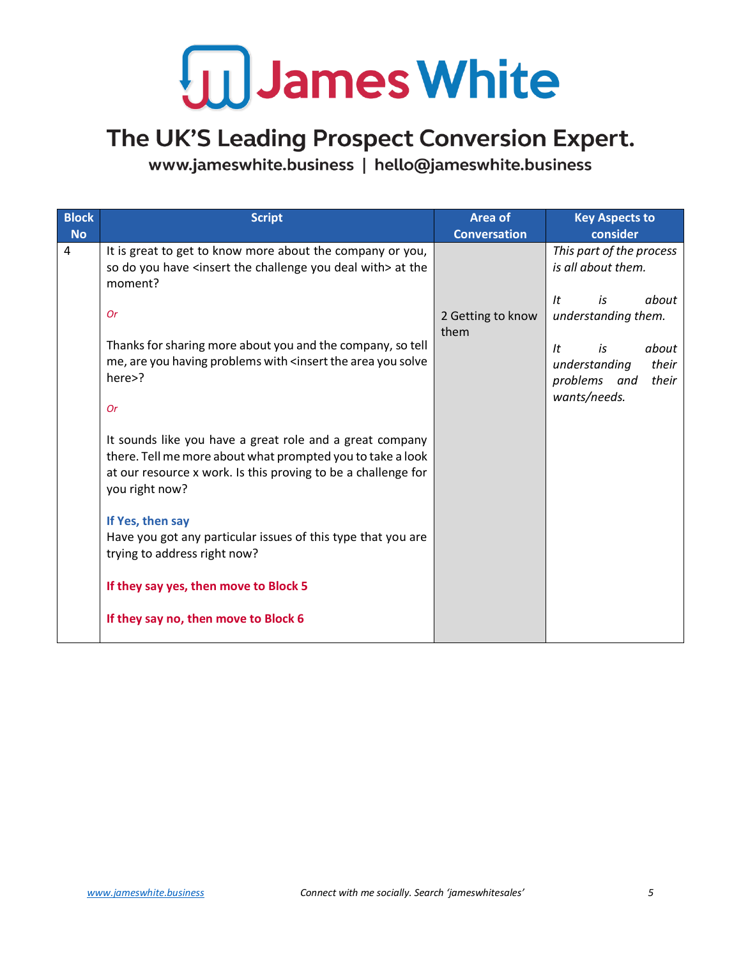#### The UK'S Leading Prospect Conversion Expert.

| <b>Block</b><br><b>No</b> | <b>Script</b>                                                                                                                                               | Area of<br><b>Conversation</b> | <b>Key Aspects to</b><br>consider                               |
|---------------------------|-------------------------------------------------------------------------------------------------------------------------------------------------------------|--------------------------------|-----------------------------------------------------------------|
| $\overline{4}$            | It is great to get to know more about the company or you,<br>so do you have <insert challenge="" deal="" the="" with="" you=""> at the<br/>moment?</insert> |                                | This part of the process<br>is all about them.                  |
|                           | <b>Or</b><br>Thanks for sharing more about you and the company, so tell                                                                                     | 2 Getting to know<br>them      | about<br>It<br>is<br>understanding them.<br>about<br>It<br>is   |
|                           | me, are you having problems with <insert area="" solve<br="" the="" you="">here&gt;?</insert>                                                               |                                | their<br>understanding<br>problems and<br>their<br>wants/needs. |
|                           | <b>Or</b><br>It sounds like you have a great role and a great company                                                                                       |                                |                                                                 |
|                           | there. Tell me more about what prompted you to take a look<br>at our resource x work. Is this proving to be a challenge for<br>you right now?               |                                |                                                                 |
|                           | If Yes, then say                                                                                                                                            |                                |                                                                 |
|                           | Have you got any particular issues of this type that you are<br>trying to address right now?                                                                |                                |                                                                 |
|                           | If they say yes, then move to Block 5                                                                                                                       |                                |                                                                 |
|                           | If they say no, then move to Block 6                                                                                                                        |                                |                                                                 |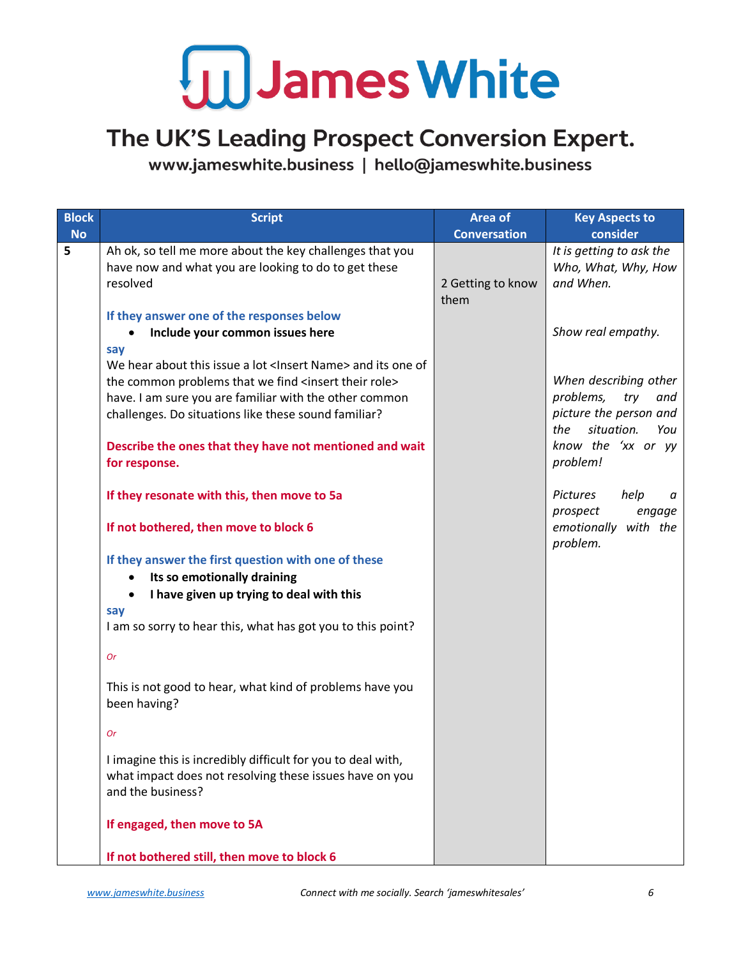#### The UK'S Leading Prospect Conversion Expert.

| <b>Block</b> | <b>Script</b>                                                                                                                                                                                                                                                                                                                                                                                                                                                                                                                                                                                                                                                                                                                                                                                                                                                                                                                                                | Area of                   | <b>Key Aspects to</b>                                                                                                                                                                                                          |
|--------------|--------------------------------------------------------------------------------------------------------------------------------------------------------------------------------------------------------------------------------------------------------------------------------------------------------------------------------------------------------------------------------------------------------------------------------------------------------------------------------------------------------------------------------------------------------------------------------------------------------------------------------------------------------------------------------------------------------------------------------------------------------------------------------------------------------------------------------------------------------------------------------------------------------------------------------------------------------------|---------------------------|--------------------------------------------------------------------------------------------------------------------------------------------------------------------------------------------------------------------------------|
| <b>No</b>    |                                                                                                                                                                                                                                                                                                                                                                                                                                                                                                                                                                                                                                                                                                                                                                                                                                                                                                                                                              | <b>Conversation</b>       | consider                                                                                                                                                                                                                       |
| 5            | Ah ok, so tell me more about the key challenges that you<br>have now and what you are looking to do to get these<br>resolved                                                                                                                                                                                                                                                                                                                                                                                                                                                                                                                                                                                                                                                                                                                                                                                                                                 | 2 Getting to know<br>them | It is getting to ask the<br>Who, What, Why, How<br>and When.                                                                                                                                                                   |
|              | If they answer one of the responses below<br>Include your common issues here                                                                                                                                                                                                                                                                                                                                                                                                                                                                                                                                                                                                                                                                                                                                                                                                                                                                                 |                           | Show real empathy.                                                                                                                                                                                                             |
|              | say<br>We hear about this issue a lot <lnsert name=""> and its one of<br/>the common problems that we find <insert role="" their=""><br/>have. I am sure you are familiar with the other common<br/>challenges. Do situations like these sound familiar?<br/>Describe the ones that they have not mentioned and wait<br/>for response.<br/>If they resonate with this, then move to 5a<br/>If not bothered, then move to block 6<br/>If they answer the first question with one of these<br/>Its so emotionally draining<br/>I have given up trying to deal with this<br/>say<br/>I am so sorry to hear this, what has got you to this point?<br/><b>Or</b><br/>This is not good to hear, what kind of problems have you<br/>been having?<br/><b>Or</b><br/>I imagine this is incredibly difficult for you to deal with,<br/>what impact does not resolving these issues have on you<br/>and the business?<br/>If engaged, then move to 5A</insert></lnsert> |                           | When describing other<br>problems,<br>try<br>and<br>picture the person and<br>the<br>situation.<br>You<br>know the 'xx or yy<br>problem!<br>Pictures<br>help<br>а<br>prospect<br>engage<br>emotionally<br>with the<br>problem. |
|              | If not bothered still, then move to block 6                                                                                                                                                                                                                                                                                                                                                                                                                                                                                                                                                                                                                                                                                                                                                                                                                                                                                                                  |                           |                                                                                                                                                                                                                                |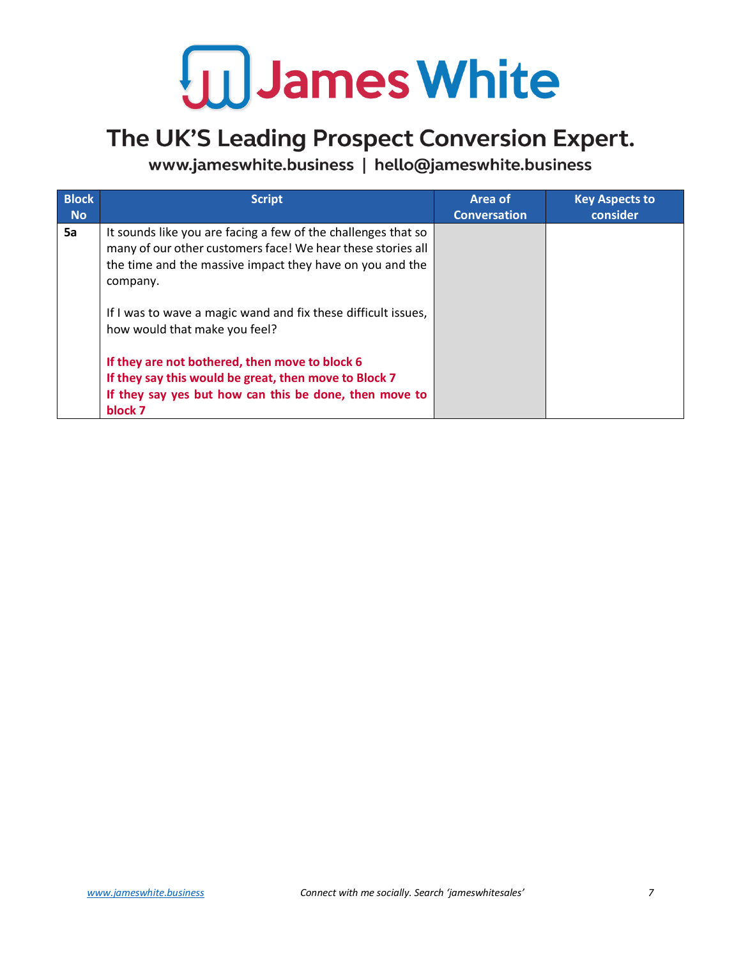

#### The UK'S Leading Prospect Conversion Expert.

| <b>Block</b><br><b>No</b> | <b>Script</b>                                                                                                                                                                                        | Area of<br><b>Conversation</b> | <b>Key Aspects to</b><br>consider |
|---------------------------|------------------------------------------------------------------------------------------------------------------------------------------------------------------------------------------------------|--------------------------------|-----------------------------------|
| 5a                        | It sounds like you are facing a few of the challenges that so<br>many of our other customers face! We hear these stories all<br>the time and the massive impact they have on you and the<br>company. |                                |                                   |
|                           | If I was to wave a magic wand and fix these difficult issues,<br>how would that make you feel?                                                                                                       |                                |                                   |
|                           | If they are not bothered, then move to block 6<br>If they say this would be great, then move to Block 7<br>If they say yes but how can this be done, then move to<br>block 7                         |                                |                                   |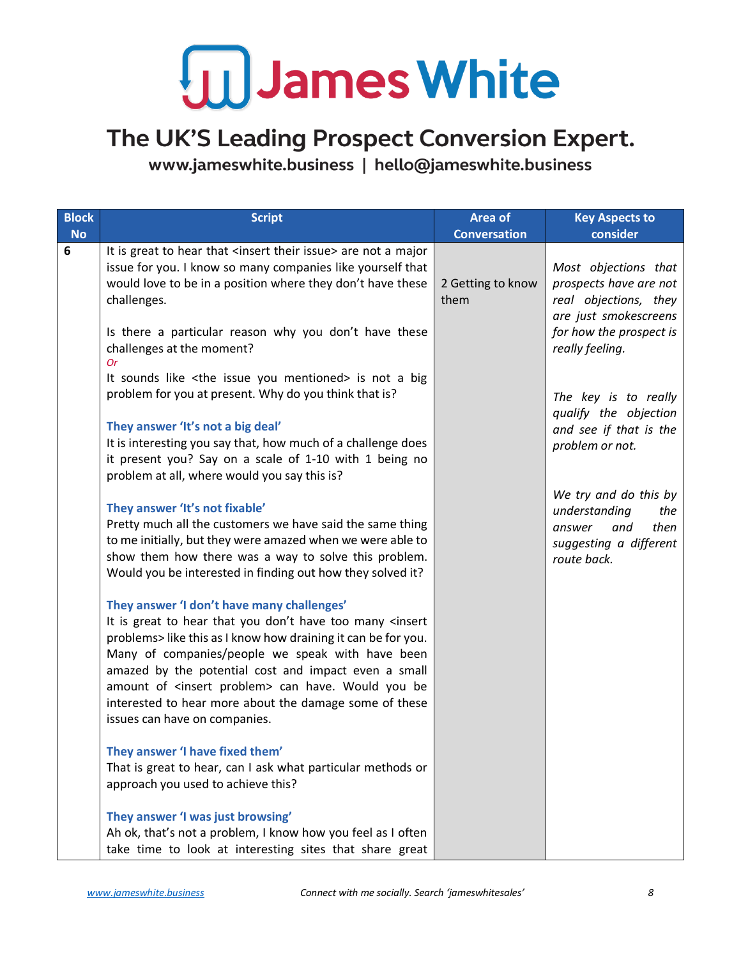#### The UK'S Leading Prospect Conversion Expert.

| <b>Block</b> | <b>Script</b>                                                                                                                                                                                                                                                                                                                                                                                                                                                       | Area of                   | <b>Key Aspects to</b>                                                                                                       |
|--------------|---------------------------------------------------------------------------------------------------------------------------------------------------------------------------------------------------------------------------------------------------------------------------------------------------------------------------------------------------------------------------------------------------------------------------------------------------------------------|---------------------------|-----------------------------------------------------------------------------------------------------------------------------|
| <b>No</b>    |                                                                                                                                                                                                                                                                                                                                                                                                                                                                     | <b>Conversation</b>       | consider                                                                                                                    |
| 6            | It is great to hear that <insert issue="" their=""> are not a major<br/>issue for you. I know so many companies like yourself that<br/>would love to be in a position where they don't have these<br/>challenges.<br/>Is there a particular reason why you don't have these</insert>                                                                                                                                                                                | 2 Getting to know<br>them | Most objections that<br>prospects have are not<br>real objections, they<br>are just smokescreens<br>for how the prospect is |
|              | challenges at the moment?<br><b>Or</b><br>It sounds like <the issue="" mentioned="" you=""> is not a big<br/>problem for you at present. Why do you think that is?<br/>They answer 'It's not a big deal'<br/>It is interesting you say that, how much of a challenge does<br/>it present you? Say on a scale of 1-10 with 1 being no</the>                                                                                                                          |                           | really feeling.<br>The key is to really<br>qualify the objection<br>and see if that is the<br>problem or not.               |
|              | problem at all, where would you say this is?<br>They answer 'It's not fixable'<br>Pretty much all the customers we have said the same thing<br>to me initially, but they were amazed when we were able to<br>show them how there was a way to solve this problem.<br>Would you be interested in finding out how they solved it?                                                                                                                                     |                           | We try and do this by<br>understanding<br>the<br>then<br>and<br>answer<br>suggesting a different<br>route back.             |
|              | They answer 'I don't have many challenges'<br>It is great to hear that you don't have too many <insert<br>problems&gt; like this as I know how draining it can be for you.<br/>Many of companies/people we speak with have been<br/>amazed by the potential cost and impact even a small<br/>amount of <insert problem=""> can have. Would you be<br/>interested to hear more about the damage some of these<br/>issues can have on companies.</insert></insert<br> |                           |                                                                                                                             |
|              | They answer 'I have fixed them'<br>That is great to hear, can I ask what particular methods or<br>approach you used to achieve this?<br>They answer 'I was just browsing'<br>Ah ok, that's not a problem, I know how you feel as I often<br>take time to look at interesting sites that share great                                                                                                                                                                 |                           |                                                                                                                             |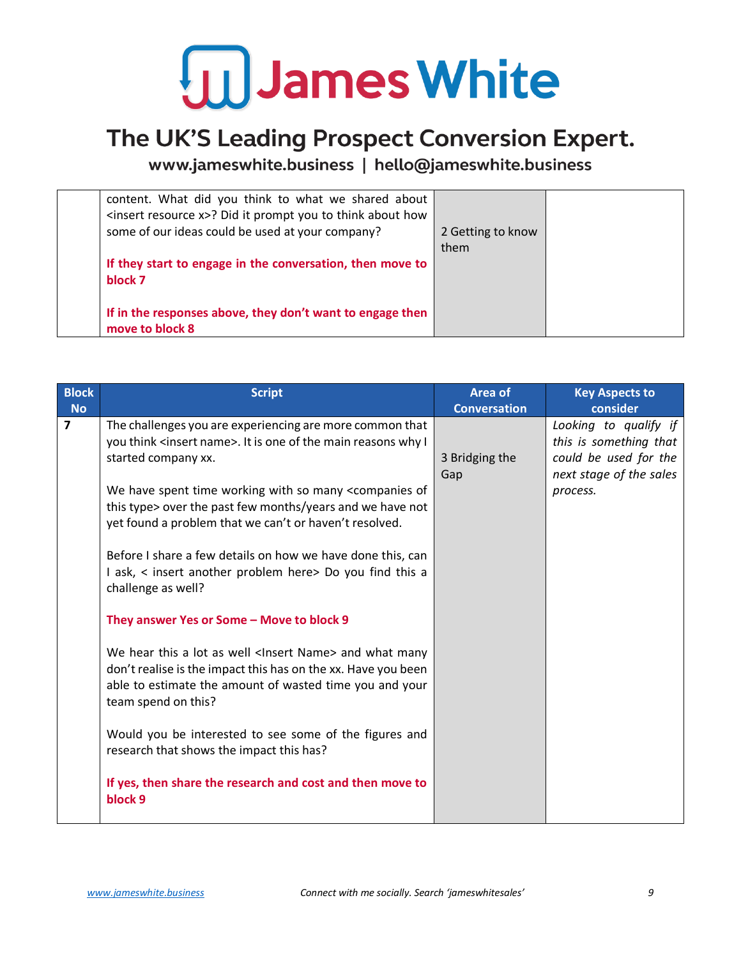

#### The UK'S Leading Prospect Conversion Expert.

| content. What did you think to what we shared about<br><insert resource="" x="">? Did it prompt you to think about how<br/>some of our ideas could be used at your company?</insert> | 2 Getting to know<br>them |  |
|--------------------------------------------------------------------------------------------------------------------------------------------------------------------------------------|---------------------------|--|
| If they start to engage in the conversation, then move to<br>block 7                                                                                                                 |                           |  |
| If in the responses above, they don't want to engage then<br>move to block 8                                                                                                         |                           |  |

| <b>Block</b><br><b>No</b> | <b>Script</b>                                                                                                                                                                                                                                                                                                                                                                                                                                                                                                                                                                                                                                                                                                                                                                                                                                                                                                                                                              | <b>Area of</b><br><b>Conversation</b> | <b>Key Aspects to</b><br>consider                                                                               |
|---------------------------|----------------------------------------------------------------------------------------------------------------------------------------------------------------------------------------------------------------------------------------------------------------------------------------------------------------------------------------------------------------------------------------------------------------------------------------------------------------------------------------------------------------------------------------------------------------------------------------------------------------------------------------------------------------------------------------------------------------------------------------------------------------------------------------------------------------------------------------------------------------------------------------------------------------------------------------------------------------------------|---------------------------------------|-----------------------------------------------------------------------------------------------------------------|
| $\overline{7}$            | The challenges you are experiencing are more common that<br>you think <insert name="">. It is one of the main reasons why I<br/>started company xx.<br/>We have spent time working with so many <companies of<br="">this type&gt; over the past few months/years and we have not<br/>yet found a problem that we can't or haven't resolved.<br/>Before I share a few details on how we have done this, can<br/>I ask, &lt; insert another problem here&gt; Do you find this a<br/>challenge as well?<br/>They answer Yes or Some - Move to block 9<br/>We hear this a lot as well <lnsert name=""> and what many<br/>don't realise is the impact this has on the xx. Have you been<br/>able to estimate the amount of wasted time you and your<br/>team spend on this?<br/>Would you be interested to see some of the figures and<br/>research that shows the impact this has?<br/>If yes, then share the research and cost and then move to</lnsert></companies></insert> | 3 Bridging the<br>Gap                 | Looking to qualify if<br>this is something that<br>could be used for the<br>next stage of the sales<br>process. |
|                           | block 9                                                                                                                                                                                                                                                                                                                                                                                                                                                                                                                                                                                                                                                                                                                                                                                                                                                                                                                                                                    |                                       |                                                                                                                 |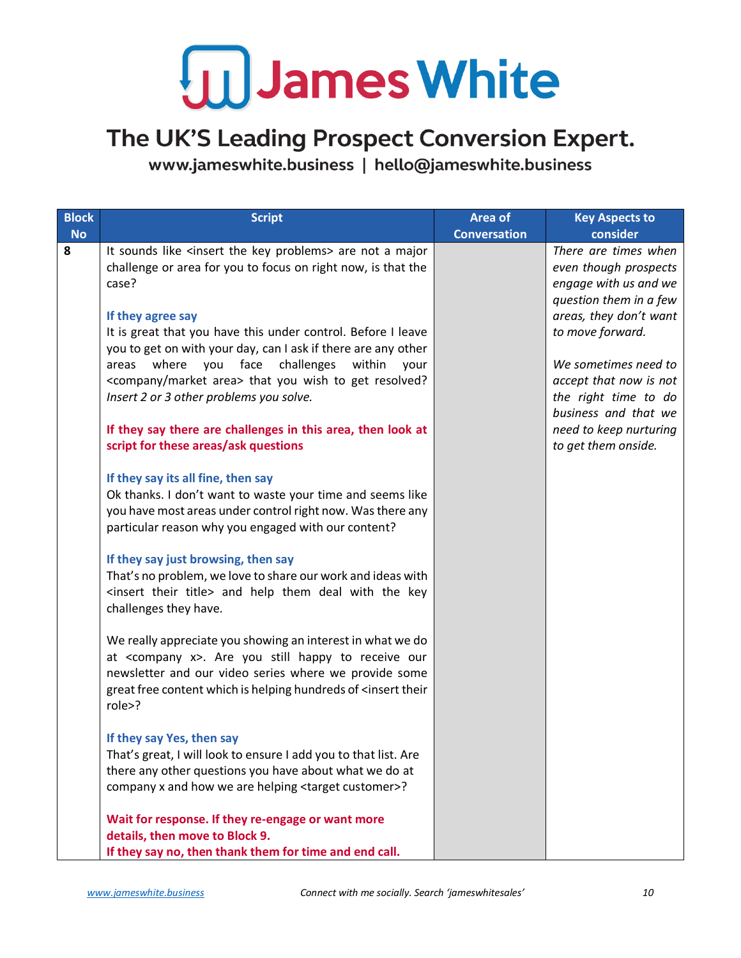#### The UK'S Leading Prospect Conversion Expert.

| <b>Block</b><br><b>No</b> | <b>Script</b>                                                                                                                                                                                                                                                                      | <b>Area of</b><br><b>Conversation</b> | <b>Key Aspects to</b><br>consider                                                                |
|---------------------------|------------------------------------------------------------------------------------------------------------------------------------------------------------------------------------------------------------------------------------------------------------------------------------|---------------------------------------|--------------------------------------------------------------------------------------------------|
| 8                         | It sounds like <insert key="" problems="" the=""> are not a major<br/>challenge or area for you to focus on right now, is that the<br/>case?</insert>                                                                                                                              |                                       | There are times when<br>even though prospects<br>engage with us and we<br>question them in a few |
|                           | If they agree say<br>It is great that you have this under control. Before I leave<br>you to get on with your day, can I ask if there are any other                                                                                                                                 |                                       | areas, they don't want<br>to move forward.                                                       |
|                           | challenges within<br>where you face<br>areas<br>your<br><company area="" market=""> that you wish to get resolved?<br/>Insert 2 or 3 other problems you solve.</company>                                                                                                           |                                       | We sometimes need to<br>accept that now is not<br>the right time to do<br>business and that we   |
|                           | If they say there are challenges in this area, then look at<br>script for these areas/ask questions                                                                                                                                                                                |                                       | need to keep nurturing<br>to get them onside.                                                    |
|                           | If they say its all fine, then say<br>Ok thanks. I don't want to waste your time and seems like<br>you have most areas under control right now. Was there any<br>particular reason why you engaged with our content?                                                               |                                       |                                                                                                  |
|                           | If they say just browsing, then say<br>That's no problem, we love to share our work and ideas with<br><insert their="" title=""> and help them deal with the key<br/>challenges they have.</insert>                                                                                |                                       |                                                                                                  |
|                           | We really appreciate you showing an interest in what we do<br>at <company x="">. Are you still happy to receive our<br/>newsletter and our video series where we provide some<br/>great free content which is helping hundreds of <insert their<br="">role&gt;?</insert></company> |                                       |                                                                                                  |
|                           | If they say Yes, then say<br>That's great, I will look to ensure I add you to that list. Are<br>there any other questions you have about what we do at<br>company x and how we are helping <target customer="">?</target>                                                          |                                       |                                                                                                  |
|                           | Wait for response. If they re-engage or want more<br>details, then move to Block 9.<br>If they say no, then thank them for time and end call.                                                                                                                                      |                                       |                                                                                                  |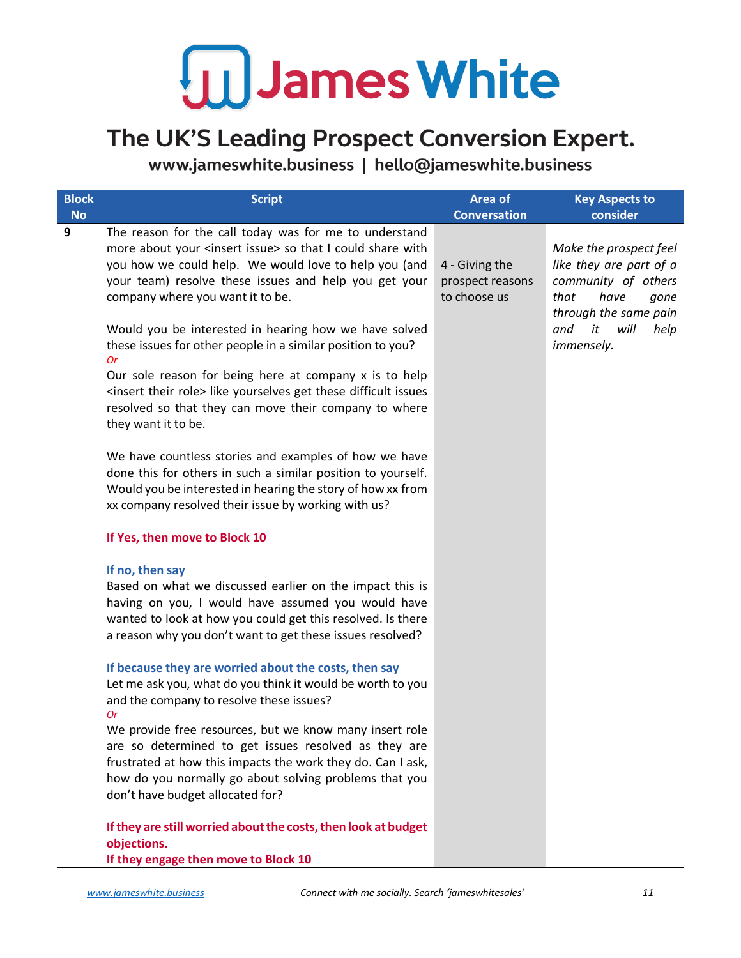### The UK'S Leading Prospect Conversion Expert.

| <b>Block</b><br><b>No</b> | <b>Script</b>                                                                                                                                                                                                                                                                | Area of<br><b>Conversation</b>     | <b>Key Aspects to</b><br>consider                                                        |
|---------------------------|------------------------------------------------------------------------------------------------------------------------------------------------------------------------------------------------------------------------------------------------------------------------------|------------------------------------|------------------------------------------------------------------------------------------|
| 9                         | The reason for the call today was for me to understand<br>more about your <insert issue=""> so that I could share with<br/>you how we could help. We would love to help you (and<br/>your team) resolve these issues and help you get your</insert>                          | 4 - Giving the<br>prospect reasons | Make the prospect feel<br>like they are part of a<br>community of others                 |
|                           | company where you want it to be.<br>Would you be interested in hearing how we have solved<br>these issues for other people in a similar position to you?<br><b>Or</b>                                                                                                        | to choose us                       | have<br>that<br>gone<br>through the same pain<br>it<br>will<br>and<br>help<br>immensely. |
|                           | Our sole reason for being here at company x is to help<br><insert role="" their=""> like yourselves get these difficult issues<br/>resolved so that they can move their company to where<br/>they want it to be.</insert>                                                    |                                    |                                                                                          |
|                           | We have countless stories and examples of how we have<br>done this for others in such a similar position to yourself.<br>Would you be interested in hearing the story of how xx from<br>xx company resolved their issue by working with us?                                  |                                    |                                                                                          |
|                           | If Yes, then move to Block 10                                                                                                                                                                                                                                                |                                    |                                                                                          |
|                           | If no, then say<br>Based on what we discussed earlier on the impact this is<br>having on you, I would have assumed you would have<br>wanted to look at how you could get this resolved. Is there<br>a reason why you don't want to get these issues resolved?                |                                    |                                                                                          |
|                           | If because they are worried about the costs, then say<br>Let me ask you, what do you think it would be worth to you<br>and the company to resolve these issues?<br>0r                                                                                                        |                                    |                                                                                          |
|                           | We provide free resources, but we know many insert role<br>are so determined to get issues resolved as they are<br>frustrated at how this impacts the work they do. Can I ask,<br>how do you normally go about solving problems that you<br>don't have budget allocated for? |                                    |                                                                                          |
|                           | If they are still worried about the costs, then look at budget<br>objections.<br>If they engage then move to Block 10                                                                                                                                                        |                                    |                                                                                          |